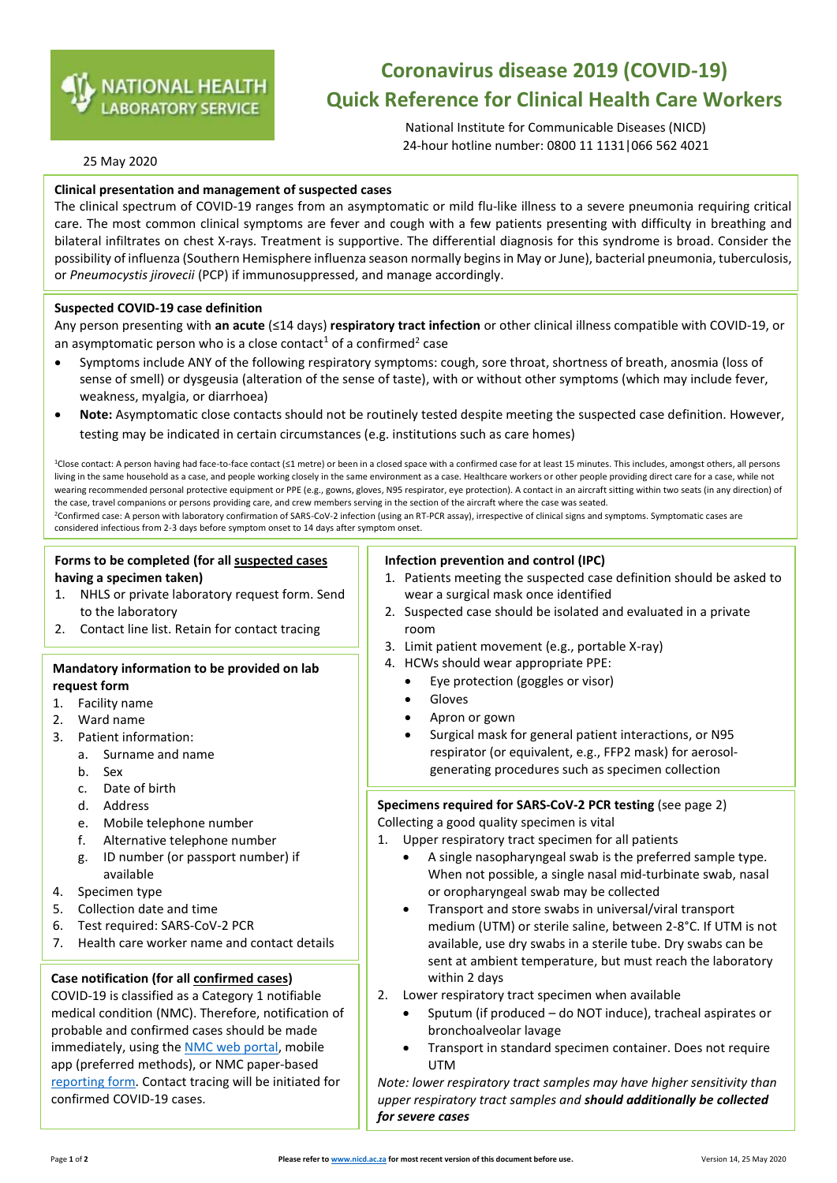

# **Coronavirus disease 2019 (COVID-19) Quick Reference for Clinical Health Care Workers**

National Institute for Communicable Diseases (NICD) 24-hour hotline number: 0800 11 1131|066 562 4021

## 25 May 2020

## **Clinical presentation and management of suspected cases**

 $\overline{\phantom{a}}$ 

The clinical spectrum of COVID-19 ranges from an asymptomatic or mild flu-like illness to a severe pneumonia requiring critical care. The most common clinical symptoms are fever and cough with a few patients presenting with difficulty in breathing and bilateral infiltrates on chest X-rays. Treatment is supportive. The differential diagnosis for this syndrome is broad. Consider the possibility of influenza (Southern Hemisphere influenza season normally beginsin May or June), bacterial pneumonia, tuberculosis, or *Pneumocystis jirovecii* (PCP) if immunosuppressed, and manage accordingly.

## **Suspected COVID-19 case definition**

Any person presenting with **an acute** (≤14 days) **respiratory tract infection** or other clinical illness compatible with COVID-19, or an asymptomatic person who is a close contact<sup>1</sup> of a confirmed<sup>2</sup> case

- Symptoms include ANY of the following respiratory symptoms: cough, sore throat, shortness of breath, anosmia (loss of sense of smell) or dysgeusia (alteration of the sense of taste), with or without other symptoms (which may include fever, weakness, myalgia, or diarrhoea)
- **Note:** Asymptomatic close contacts should not be routinely tested despite meeting the suspected case definition. However, testing may be indicated in certain circumstances (e.g. institutions such as care homes)

<sup>1</sup>Close contact: A person having had face-to-face contact (≤1 metre) or been in a closed space with a confirmed case for at least 15 minutes. This includes, amongst others, all persons living in the same household as a case, and people working closely in the same environment as a case. Healthcare workers or other people providing direct care for a case, while not wearing recommended personal protective equipment or PPE (e.g., gowns, gloves, N95 respirator, eye protection). A contact in an aircraft sitting within two seats (in any direction) of the case, travel companions or persons providing care, and crew members serving in the section of the aircraft where the case was seated.

<sup>2</sup>Confirmed case: A person with laboratory confirmation of SARS-CoV-2 infection (using an RT-PCR assay), irrespective of clinical signs and symptoms. Symptomatic cases are considered infectious from 2-3 days before symptom onset to 14 days after symptom onset.

# **Forms to be completed (for all suspected cases having a specimen taken)**

- 1. NHLS or private laboratory request form. Send to the laboratory
- 2. Contact line list. Retain for contact tracing

## **Mandatory information to be provided on lab request form**

- 1. Facility name
- 2. Ward name
- 3. Patient information:
	- a. Surname and name
	- b. Sex
	- c. Date of birth
	- d. Address
	- e. Mobile telephone number
	- f. Alternative telephone number
	- g. ID number (or passport number) if available
- 4. Specimen type
- 5. Collection date and time
- 6. Test required: SARS-CoV-2 PCR
- 7. Health care worker name and contact details

# **Case notification (for all confirmed cases)**

COVID-19 is classified as a Category 1 notifiable medical condition (NMC). Therefore, notification of probable and confirmed cases should be made immediately, using the NMC web [portal,](https://www.nicd.ac.za/nmc-covid-19-documents/) mobile app (preferred methods), or NMC paper-based [reporting](https://www.nicd.ac.za/wp-content/uploads/2020/05/NMC_COVID-19_Case_Notification_Form_5May2020.pdf) form. Contact tracing will be initiated for confirmed COVID-19 cases.

## **Infection prevention and control (IPC)**

- 1. Patients meeting the suspected case definition should be asked to wear a surgical mask once identified
- 2. Suspected case should be isolated and evaluated in a private room
- 3. Limit patient movement (e.g., portable X-ray)
- 4. HCWs should wear appropriate PPE:
	- Eye protection (goggles or visor)
	- Gloves
	- Apron or gown
	- Surgical mask for general patient interactions, or N95 respirator (or equivalent, e.g., FFP2 mask) for aerosolgenerating procedures such as specimen collection

# **Specimens required for SARS-CoV-2 PCR testing** (see page 2)

Collecting a good quality specimen is vital

1. Upper respiratory tract specimen for all patients

- A single nasopharyngeal swab is the preferred sample type. When not possible, a single nasal mid-turbinate swab, nasal or oropharyngeal swab may be collected
- Transport and store swabs in universal/viral transport medium (UTM) or sterile saline, between 2-8°C. If UTM is not available, use dry swabs in a sterile tube. Dry swabs can be sent at ambient temperature, but must reach the laboratory within 2 days
- 2. Lower respiratory tract specimen when available
	- Sputum (if produced do NOT induce), tracheal aspirates or bronchoalveolar lavage
	- Transport in standard specimen container. Does not require UTM

*Note: lower respiratory tract samples may have higher sensitivity than upper respiratory tract samples and should additionally be collected for severe cases*